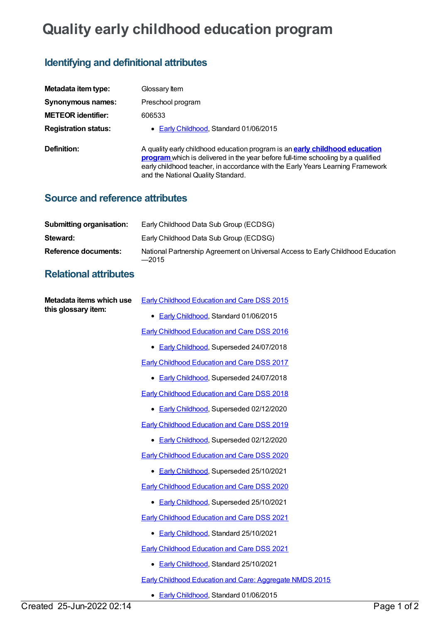## **Quality early childhood education program**

## **Identifying and definitional attributes**

| Metadata item type:         | Glossary Item                                                                                                                                                                                                                                                                                  |
|-----------------------------|------------------------------------------------------------------------------------------------------------------------------------------------------------------------------------------------------------------------------------------------------------------------------------------------|
| Synonymous names:           | Preschool program                                                                                                                                                                                                                                                                              |
| <b>METEOR identifier:</b>   | 606533                                                                                                                                                                                                                                                                                         |
| <b>Registration status:</b> | • Early Childhood, Standard 01/06/2015                                                                                                                                                                                                                                                         |
| Definition:                 | A quality early childhood education program is an <b>early childhood education</b><br>program which is delivered in the year before full-time schooling by a qualified<br>early childhood teacher, in accordance with the Early Years Learning Framework<br>and the National Quality Standard. |

## **Source and reference attributes**

| <b>Submitting organisation:</b> | Early Childhood Data Sub Group (ECDSG)                                                     |
|---------------------------------|--------------------------------------------------------------------------------------------|
| Steward:                        | Early Childhood Data Sub Group (ECDSG)                                                     |
| Reference documents:            | National Partnership Agreement on Universal Access to Early Childhood Education<br>$-2015$ |

## **Relational attributes**

| Metadata items which use<br>this glossary item: | Early Childhood Education and Care DSS 2015                    |
|-------------------------------------------------|----------------------------------------------------------------|
|                                                 | • Early Childhood, Standard 01/06/2015                         |
|                                                 | <b>Early Childhood Education and Care DSS 2016</b>             |
|                                                 | • Early Childhood, Superseded 24/07/2018                       |
|                                                 | <b>Early Childhood Education and Care DSS 2017</b>             |
|                                                 | • Early Childhood, Superseded 24/07/2018                       |
|                                                 | <b>Early Childhood Education and Care DSS 2018</b>             |
|                                                 | Early Childhood, Superseded 02/12/2020<br>٠                    |
|                                                 | Early Childhood Education and Care DSS 2019                    |
|                                                 | • Early Childhood, Superseded 02/12/2020                       |
|                                                 | <b>Early Childhood Education and Care DSS 2020</b>             |
|                                                 | • Early Childhood, Superseded 25/10/2021                       |
|                                                 | <b>Early Childhood Education and Care DSS 2020</b>             |
|                                                 | • Early Childhood, Superseded 25/10/2021                       |
|                                                 | <b>Early Childhood Education and Care DSS 2021</b>             |
|                                                 | • Early Childhood, Standard 25/10/2021                         |
|                                                 | <b>Early Childhood Education and Care DSS 2021</b>             |
|                                                 | Early Childhood, Standard 25/10/2021<br>٠                      |
|                                                 | <b>Early Childhood Education and Care: Aggregate NMDS 2015</b> |
|                                                 | • Early Childhood, Standard 01/06/2015                         |